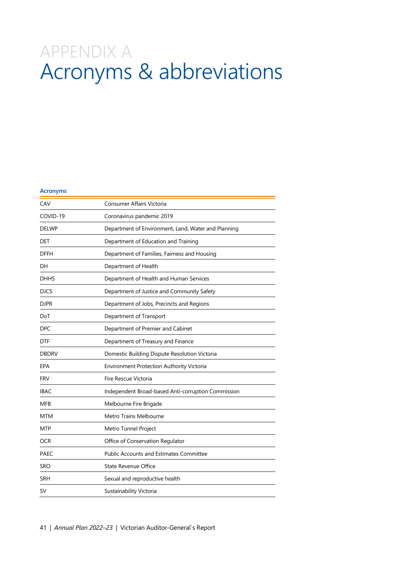## APPENDIX A Acronyms & abbreviations

## **Acronyms** CAV Consumer Affairs Victoria COVID-19 Coronavirus pandemic 2019 DELWP Department of Environment, Land, Water and Planning DET Department of Education and Training DFFH Department of Families, Fairness and Housing DH Department of Health DHHS Department of Health and Human Services DJCS Department of Justice and Community Safety DJPR Department of Jobs, Precincts and Regions DoT Department of Transport DPC Department of Premier and Cabinet DTF Department of Treasury and Finance DBDRV Domestic Building Dispute Resolution Victoria EPA Environment Protection Authority Victoria FRV Fire Rescue Victoria IBAC Independent Broad-based Anti-corruption Commission MFB Melbourne Fire Brigade MTM Metro Trains Melbourne MTP Metro Tunnel Project OCR **OFFICE OF CONSERVATION Regulator** PAEC Public Accounts and Estimates Committee SRO State Revenue Office SRH Sexual and reproductive health SV Sustainability Victoria